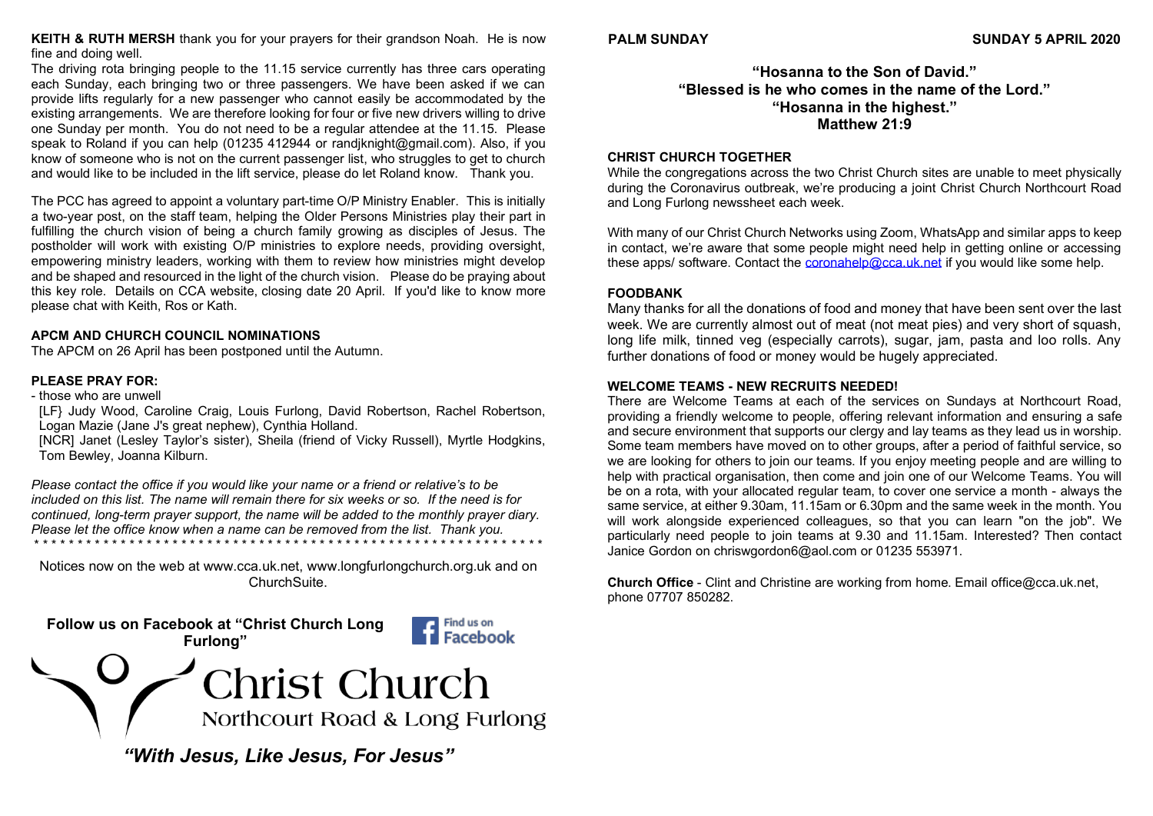**KEITH & RUTH MERSH** thank you for your prayers for their grandson Noah. He is now fine and doing well.

The driving rota bringing people to the 11.15 service currently has three cars operating each Sunday, each bringing two or three passengers. We have been asked if we can provide lifts regularly for a new passenger who cannot easily be accommodated by the existing arrangements. We are therefore looking for four or five new drivers willing to drive one Sunday per month. You do not need to be a regular attendee at the 11.15. Please speak to Roland if you can help (01235 412944 or [randjknight@gmail.com\)](mailto:randjknight@gmail.com). Also, if you know of someone who is not on the current passenger list, who struggles to get to church and would like to be included in the lift service, please do let Roland know. Thank you.

The PCC has agreed to appoint a voluntary part-time O/P Ministry Enabler. This is initially a two-year post, on the staff team, helping the Older Persons Ministries play their part in fulfilling the church vision of being a church family growing as disciples of Jesus. The postholder will work with existing O/P ministries to explore needs, providing oversight, empowering ministry leaders, working with them to review how ministries might develop and be shaped and resourced in the light of the church vision. Please do be praying about this key role. Details on CCA website, closing date 20 April. If you'd like to know more please chat with Keith, Ros or Kath.

## **APCM AND CHURCH COUNCIL NOMINATIONS**

The APCM on 26 April has been postponed until the Autumn.

## **PLEASE PRAY FOR:**

- those who are unwell

[LF} Judy Wood, Caroline Craig, Louis Furlong, David Robertson, Rachel Robertson, Logan Mazie (Jane J's great nephew), Cynthia Holland.

[NCR] Janet (Lesley Taylor's sister), Sheila (friend of Vicky Russell), Myrtle Hodgkins, Tom Bewley, Joanna Kilburn.

*Please contact the office if you would like your name or a friend or relative's to be included on this list. The name will remain there for six weeks or so. If the need is for continued, long-term prayer support, the name will be added to the monthly prayer diary. Please let the office know when a name can be removed from the list. Thank you.* \* \* \* \* \* \* \* \* \* \* \* \* \* \* \* \* \* \* \* \* \* \* \* \* \* \* \* \* \* \* \* \* \* \* \* \* \* \* \* \* \* \* \* \* \* \* \* \* \* \* \* \* \* \* \* \* \* \* \*

Notices now on the web at [www.cca.uk.net,](http://www.cca.uk.net/) [www.longfurlongchurch.org.uk](http://www.longfurlongchurch.org.uk/) and on ChurchSuite.



## **"Hosanna to the Son of David." "Blessed is he who comes in the name of the Lord." "Hosanna in the highest." Matthew 21:9**

#### **CHRIST CHURCH TOGETHER**

While the congregations across the two Christ Church sites are unable to meet physically during the Coronavirus outbreak, we're producing a joint Christ Church Northcourt Road and Long Furlong newssheet each week.

With many of our Christ Church Networks using Zoom, WhatsApp and similar apps to keep in contact, we're aware that some people might need help in getting online or accessing these apps/ software. Contact the **coronahelp@cca.uk.net** if you would like some help.

#### **FOODBANK**

Many thanks for all the donations of food and money that have been sent over the last week. We are currently almost out of meat (not meat pies) and very short of squash, long life milk, tinned veg (especially carrots), sugar, jam, pasta and loo rolls. Any further donations of food or money would be hugely appreciated.

#### **WELCOME TEAMS - NEW RECRUITS NEEDED!**

There are Welcome Teams at each of the services on Sundays at Northcourt Road, providing a friendly welcome to people, offering relevant information and ensuring a safe and secure environment that supports our clergy and lay teams as they lead us in worship. Some team members have moved on to other groups, after a period of faithful service, so we are looking for others to join our teams. If you enjoy meeting people and are willing to help with practical organisation, then come and join one of our Welcome Teams. You will be on a rota, with your allocated regular team, to cover one service a month - always the same service, at either 9.30am, 11.15am or 6.30pm and the same week in the month. You will work alongside experienced colleagues, so that you can learn "on the job". We particularly need people to join teams at 9.30 and 11.15am. Interested? Then contact Janice Gordon on [chriswgordon6@aol.com](mailto:chriswgordon6@aol.com) or 01235 553971.

**Church Office** - Clint and Christine are working from home. Email [office@cca.uk.net,](mailto:office@cca.uk.net) phone 07707 850282.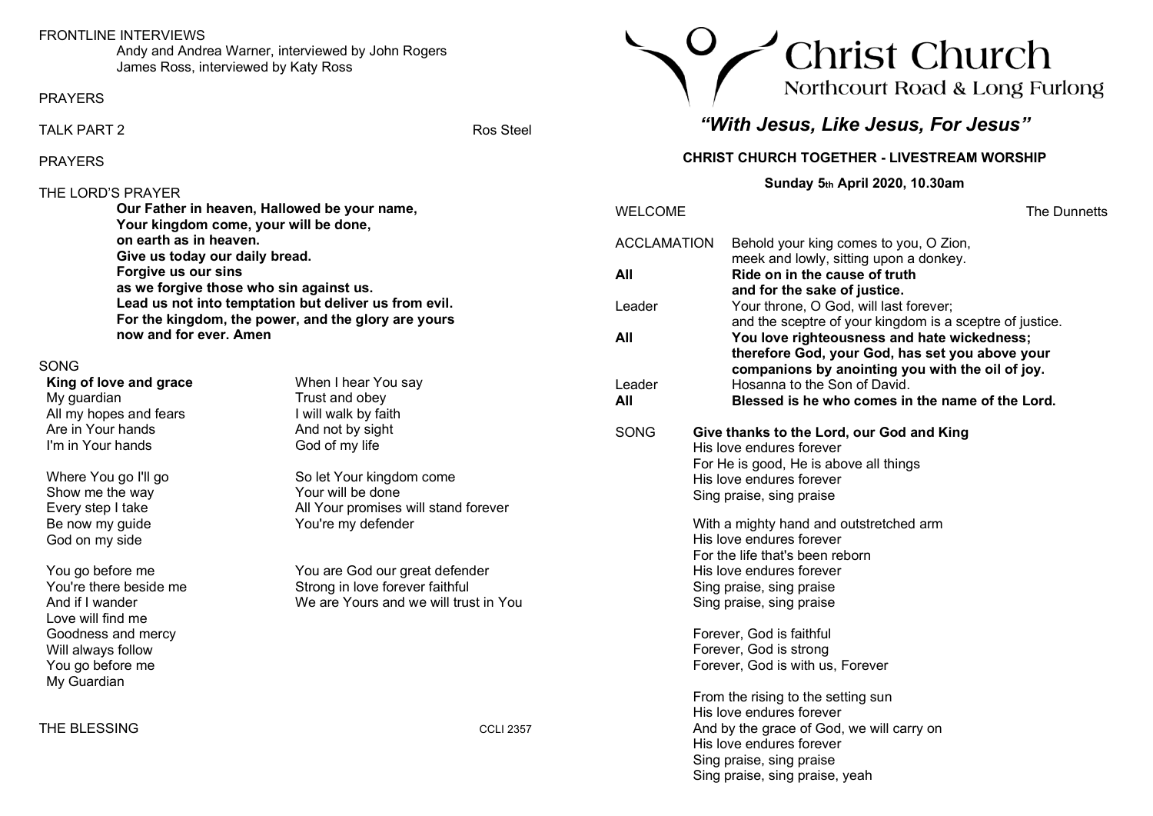## FRONTLINE INTERVIEWS

Andy and Andrea Warner, interviewed by John Rogers James Ross, interviewed by Katy Ross

PRAYERS

TALK PART 2 Ros Steel

PRAYERS

## THE LORD'S PRAYER

**Our Father in heaven, Hallowed be your name, Your kingdom come, your will be done, on earth as in heaven. Give us today our daily bread. Forgive us our sins as we forgive those who sin against us. Lead us not into temptation but deliver us from evil. For the kingdom, the power, and the glory are yours now and for ever. Amen**

## SONG

**King of love and grace** My guardian All my hopes and fears Are in Your hands I'm in Your hands

Where You go I'll go Show me the way Every step I take Be now my guide God on my side

You go before me You're there beside me And if I wander Love will find me Goodness and mercy Will always follow You go before me My Guardian

THE BLESSING COLLECTIVE COMPANY COLLECTIVE COMPANY COLLECTIVE COMPANY COLLECTIVE COMPANY COLLECTIVE COMPANY COLLECTIVE COMPANY COLLECTIVE COMPANY COLLECTIVE COMPANY COLLECTIVE COMPANY COLLECTIVE COMPANY COLLECTIVE COMPANY

When I hear You say Trust and obey I will walk by faith And not by sight God of my life

So let Your kingdom come Your will be done All Your promises will stand forever You're my defender

You are God our great defender Strong in love forever faithful We are Yours and we will trust in You



# *"With Jesus, Like Jesus, For Jesus"*

## **CHRIST CHURCH TOGETHER - LIVESTREAM WORSHIP**

**Sunday 5th April 2020, 10.30am**

| WELCOME       |                                                                                                                                                                                                                | The Dunnetts |
|---------------|----------------------------------------------------------------------------------------------------------------------------------------------------------------------------------------------------------------|--------------|
| ACCLAMATION   | Behold your king comes to you, O Zion,<br>meek and lowly, sitting upon a donkey.                                                                                                                               |              |
| All           | Ride on in the cause of truth                                                                                                                                                                                  |              |
| Leader        | and for the sake of justice.<br>Your throne, O God, will last forever;                                                                                                                                         |              |
| All           | and the sceptre of your kingdom is a sceptre of justice.<br>You love righteousness and hate wickedness;<br>therefore God, your God, has set you above your<br>companions by anointing you with the oil of joy. |              |
| Leader<br>All | Hosanna to the Son of David.<br>Blessed is he who comes in the name of the Lord.                                                                                                                               |              |
| SONG          | Give thanks to the Lord, our God and King<br>His love endures forever<br>For He is good, He is above all things<br>His love endures forever<br>Sing praise, sing praise                                        |              |
|               | With a mighty hand and outstretched arm<br>His love endures forever<br>For the life that's been reborn<br>His love endures forever<br>Sing praise, sing praise<br>Sing praise, sing praise                     |              |
|               | Forever, God is faithful<br>Forever, God is strong<br>Forever, God is with us, Forever                                                                                                                         |              |
|               | From the rising to the setting sun<br>His love endures forever<br>And by the grace of God, we will carry on<br>His love endures forever<br>Sing praise, sing praise<br>Sing praise, sing praise, yeah          |              |